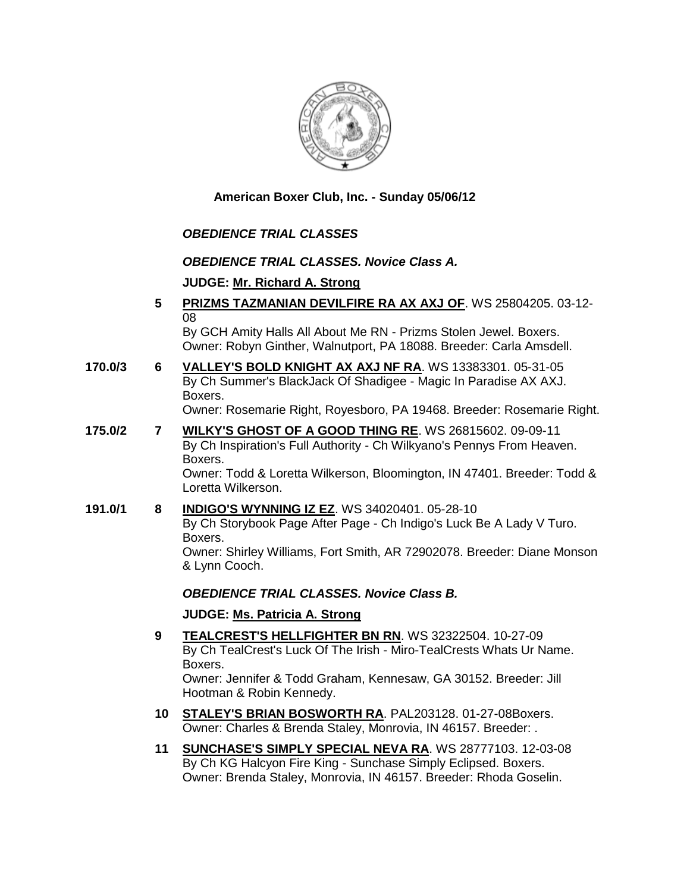

**American Boxer Club, Inc. - Sunday 05/06/12** 

# *OBEDIENCE TRIAL CLASSES*

## *OBEDIENCE TRIAL CLASSES. Novice Class A.*

## **JUDGE: [Mr. Richard A. Strong](http://www.infodog.com/judges/2197/juddat.htm)**

- **5 [PRIZMS TAZMANIAN DEVILFIRE RA AX AXJ OF](http://www.infodog.com/files/bdogrsl1.prg;makc=WS%2025804205;mdog=Prizms_Tazmanian_DevilFire_RA_AX_AXJ_OF;wins=all)**. WS 25804205. 03-12- 08 By GCH Amity Halls All About Me RN - Prizms Stolen Jewel. Boxers. Owner: Robyn Ginther, Walnutport, PA 18088. Breeder: Carla Amsdell.
- **170.0/3 6 [VALLEY'S BOLD KNIGHT AX AXJ NF RA](http://www.infodog.com/files/bdogrsl1.prg;makc=WS%2013383301;mdog=Valley_s_Bold_Knight_AX_AXJ_NF_RA;wins=all)**. WS 13383301. 05-31-05 By Ch Summer's BlackJack Of Shadigee - Magic In Paradise AX AXJ. Boxers. Owner: Rosemarie Right, Royesboro, PA 19468. Breeder: Rosemarie Right.
- **175.0/2 7 [WILKY'S GHOST OF A GOOD THING RE](http://www.infodog.com/files/bdogrsl1.prg;makc=WS%2026815602;mdog=Wilky_s_Ghost_Of_A_Good_Thing_RE;wins=all)**. WS 26815602. 09-09-11 By Ch Inspiration's Full Authority - Ch Wilkyano's Pennys From Heaven. Boxers. Owner: Todd & Loretta Wilkerson, Bloomington, IN 47401. Breeder: Todd & Loretta Wilkerson.
- **191.0/1 8 [INDIGO'S WYNNING IZ EZ](http://www.infodog.com/files/bdogrsl1.prg;makc=WS%2034020401;mdog=Indigo_s_Wynning_Iz_Ez;wins=all)**. WS 34020401. 05-28-10 By Ch Storybook Page After Page - Ch Indigo's Luck Be A Lady V Turo. Boxers. Owner: Shirley Williams, Fort Smith, AR 72902078. Breeder: Diane Monson & Lynn Cooch.

# *OBEDIENCE TRIAL CLASSES. Novice Class B.*

### **JUDGE: [Ms. Patricia A. Strong](http://www.infodog.com/judges/19096/juddat.htm)**

- **9 [TEALCREST'S HELLFIGHTER BN RN](http://www.infodog.com/files/bdogrsl1.prg;makc=WS%2032322504;mdog=TealCrest_s_Hellfighter_BN_RN;wins=all)**. WS 32322504. 10-27-09 By Ch TealCrest's Luck Of The Irish - Miro-TealCrests Whats Ur Name. Boxers. Owner: Jennifer & Todd Graham, Kennesaw, GA 30152. Breeder: Jill Hootman & Robin Kennedy.
- **10 [STALEY'S BRIAN BOSWORTH RA](http://www.infodog.com/files/bdogrsl1.prg;makc=PAL203128;mdog=Staley_s_Brian_Bosworth_RA;wins=all)**. PAL203128. 01-27-08Boxers. Owner: Charles & Brenda Staley, Monrovia, IN 46157. Breeder: .
- **11 [SUNCHASE'S SIMPLY SPECIAL NEVA RA](http://www.infodog.com/files/bdogrsl1.prg;makc=WS%2028777103;mdog=Sunchase_s_Simply_Special_Neva_RA;wins=all)**. WS 28777103. 12-03-08 By Ch KG Halcyon Fire King - Sunchase Simply Eclipsed. Boxers. Owner: Brenda Staley, Monrovia, IN 46157. Breeder: Rhoda Goselin.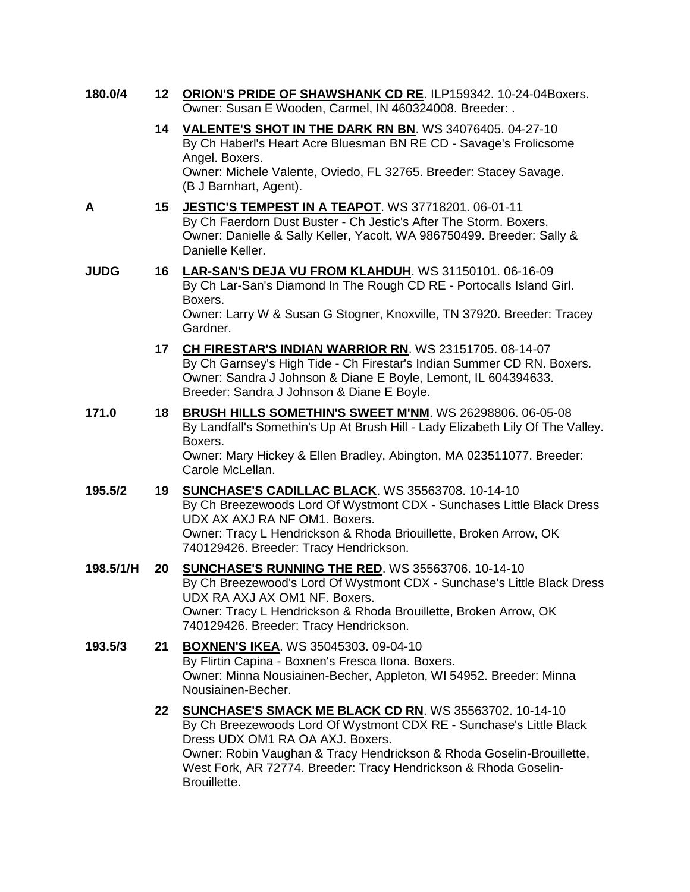| 180.0/4 | 12 ORION'S PRIDE OF SHAWSHANK CD RE. ILP159342. 10-24-04Boxers. |
|---------|-----------------------------------------------------------------|
|         | Owner: Susan E Wooden, Carmel, IN 460324008. Breeder: .         |

- **14 [VALENTE'S SHOT IN THE DARK RN BN](http://www.infodog.com/files/bdogrsl1.prg;makc=WS%2034076405;mdog=Valente_s_Shot_In_The_Dark_RN_BN;wins=all)**. WS 34076405. 04-27-10 By Ch Haberl's Heart Acre Bluesman BN RE CD - Savage's Frolicsome Angel. Boxers. Owner: Michele Valente, Oviedo, FL 32765. Breeder: Stacey Savage. (B J Barnhart, Agent).
- 
- **A 15 [JESTIC'S TEMPEST IN A TEAPOT](http://www.infodog.com/files/bdogrsl1.prg;makc=WS%2037718201;mdog=Jestic_s_Tempest_In_A_Teapot;wins=all)**. WS 37718201. 06-01-11 By Ch Faerdorn Dust Buster - Ch Jestic's After The Storm. Boxers. Owner: Danielle & Sally Keller, Yacolt, WA 986750499. Breeder: Sally & Danielle Keller.
- **JUDG 16 [LAR-SAN'S DEJA VU FROM KLAHDUH](http://www.infodog.com/files/bdogrsl1.prg;makc=WS%2031150101;mdog=Lar-San_s_Deja_Vu_From_Klahduh;wins=all)**. WS 31150101. 06-16-09 By Ch Lar-San's Diamond In The Rough CD RE - Portocalls Island Girl. Boxers.

Owner: Larry W & Susan G Stogner, Knoxville, TN 37920. Breeder: Tracey Gardner.

- **17 [CH FIRESTAR'S INDIAN WARRIOR RN](http://www.infodog.com/files/bdogrsl1.prg;makc=WS%2023151705;mdog=Ch_Firestar_s_Indian_Warrior_RN;wins=all)**. WS 23151705. 08-14-07 By Ch Garnsey's High Tide - Ch Firestar's Indian Summer CD RN. Boxers. Owner: Sandra J Johnson & Diane E Boyle, Lemont, IL 604394633. Breeder: Sandra J Johnson & Diane E Boyle.
- **171.0 18 BRUSH HILLS [SOMETHIN'S SWEET M'NM](http://www.infodog.com/files/bdogrsl1.prg;makc=WS%2026298806;mdog=Brush_Hills_Somethin_s_Sweet_M_NM;wins=all)**. WS 26298806. 06-05-08 By Landfall's Somethin's Up At Brush Hill - Lady Elizabeth Lily Of The Valley. Boxers. Owner: Mary Hickey & Ellen Bradley, Abington, MA 023511077. Breeder: Carole McLellan.
- **195.5/2 19 [SUNCHASE'S CADILLAC BLACK](http://www.infodog.com/files/bdogrsl1.prg;makc=WS%2035563708;mdog=Sunchase_s_Cadillac_Black;wins=all)**. WS 35563708. 10-14-10 By Ch Breezewoods Lord Of Wystmont CDX - Sunchases Little Black Dress UDX AX AXJ RA NF OM1. Boxers. Owner: Tracy L Hendrickson & Rhoda Briouillette, Broken Arrow, OK 740129426. Breeder: Tracy Hendrickson.
- **198.5/1/H 20 [SUNCHASE'S RUNNING THE RED](http://www.infodog.com/files/bdogrsl1.prg;makc=WS%2035563706;mdog=Sunchase_s_Running_The_Red;wins=all)**. WS 35563706. 10-14-10 By Ch Breezewood's Lord Of Wystmont CDX - Sunchase's Little Black Dress UDX RA AXJ AX OM1 NF. Boxers. Owner: Tracy L Hendrickson & Rhoda Brouillette, Broken Arrow, OK 740129426. Breeder: Tracy Hendrickson.
- **193.5/3 21 [BOXNEN'S IKEA](http://www.infodog.com/files/bdogrsl1.prg;makc=WS%2035045303;mdog=Boxnen_s_Ikea;wins=all)**. WS 35045303. 09-04-10 By Flirtin Capina - Boxnen's Fresca Ilona. Boxers. Owner: Minna Nousiainen-Becher, Appleton, WI 54952. Breeder: Minna Nousiainen-Becher.
	- **22 [SUNCHASE'S SMACK ME BLACK CD RN](http://www.infodog.com/files/bdogrsl1.prg;makc=WS%2035563702;mdog=Sunchase_s_Smack_Me_Black_CD_RN;wins=all)**. WS 35563702. 10-14-10 By Ch Breezewoods Lord Of Wystmont CDX RE - Sunchase's Little Black Dress UDX OM1 RA OA AXJ. Boxers. Owner: Robin Vaughan & Tracy Hendrickson & Rhoda Goselin-Brouillette, West Fork, AR 72774. Breeder: Tracy Hendrickson & Rhoda Goselin-Brouillette.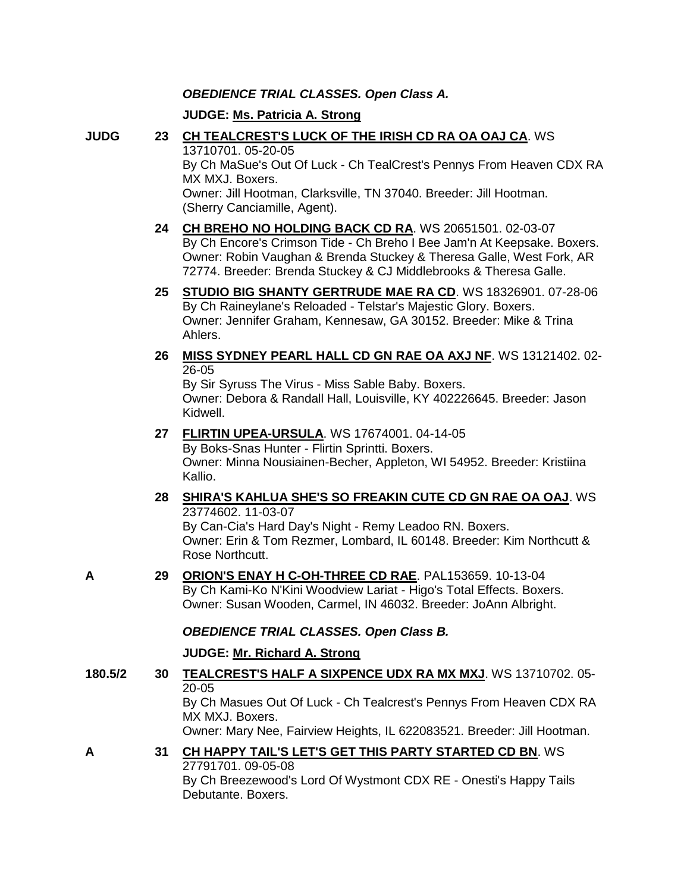## *OBEDIENCE TRIAL CLASSES. Open Class A.*

## **JUDGE: [Ms. Patricia A. Strong](http://www.infodog.com/judges/19096/juddat.htm)**

- 
- **JUDG 23 [CH TEALCREST'S LUCK OF THE IRISH CD RA OA OAJ CA](http://www.infodog.com/files/bdogrsl1.prg;makc=WS%2013710701;mdog=Ch_TealCrest_s_Luck_Of_The_Irish_CD_RA_OA_OAJ_CA;wins=all)**. WS 13710701. 05-20-05 By Ch MaSue's Out Of Luck - Ch TealCrest's Pennys From Heaven CDX RA MX MXJ. Boxers. Owner: Jill Hootman, Clarksville, TN 37040. Breeder: Jill Hootman. (Sherry Canciamille, Agent).
	- **24 [CH BREHO NO HOLDING BACK CD RA](http://www.infodog.com/files/bdogrsl1.prg;makc=WS%2020651501;mdog=Ch_Breho_No_Holding_Back_CD_RA;wins=all)**. WS 20651501. 02-03-07 By Ch Encore's Crimson Tide - Ch Breho I Bee Jam'n At Keepsake. Boxers. Owner: Robin Vaughan & Brenda Stuckey & Theresa Galle, West Fork, AR 72774. Breeder: Brenda Stuckey & CJ Middlebrooks & Theresa Galle.
	- **25 [STUDIO BIG SHANTY GERTRUDE MAE RA CD](http://www.infodog.com/files/bdogrsl1.prg;makc=WS%2018326901;mdog=Studio_Big_Shanty_Gertrude_Mae_RA_CD;wins=all)**. WS 18326901. 07-28-06 By Ch Raineylane's Reloaded - Telstar's Majestic Glory. Boxers. Owner: Jennifer Graham, Kennesaw, GA 30152. Breeder: Mike & Trina Ahlers.
	- **26 [MISS SYDNEY PEARL HALL CD GN RAE OA AXJ NF](http://www.infodog.com/files/bdogrsl1.prg;makc=WS%2013121402;mdog=Miss_Sydney_Pearl_Hall_CD_GN_RAE_OA_AXJ_NF;wins=all)**. WS 13121402. 02- 26-05

By Sir Syruss The Virus - Miss Sable Baby. Boxers. Owner: Debora & Randall Hall, Louisville, KY 402226645. Breeder: Jason Kidwell.

- **27 [FLIRTIN UPEA-URSULA](http://www.infodog.com/files/bdogrsl1.prg;makc=WS%2017674001;mdog=Flirtin_Upea-Ursula;wins=all)**. WS 17674001. 04-14-05 By Boks-Snas Hunter - Flirtin Sprintti. Boxers. Owner: Minna Nousiainen-Becher, Appleton, WI 54952. Breeder: Kristiina Kallio.
- **28 [SHIRA'S KAHLUA SHE'S SO FREAKIN CUTE CD GN RAE OA OAJ](http://www.infodog.com/files/bdogrsl1.prg;makc=WS%2023774602;mdog=Shira_s_Kahlua_She_s_So_Freakin_Cute_CD_GN_RAE_OA_OAJ;wins=all)**. WS 23774602. 11-03-07 By Can-Cia's Hard Day's Night - Remy Leadoo RN. Boxers. Owner: Erin & Tom Rezmer, Lombard, IL 60148. Breeder: Kim Northcutt & Rose Northcutt.
- **A 29 [ORION'S ENAY H C-OH-THREE CD RAE](http://www.infodog.com/files/bdogrsl1.prg;makc=PAL153659;mdog=Orion_s_Enay_H_C-oh-three_CD_RAE;wins=all)**. PAL153659. 10-13-04 By Ch Kami-Ko N'Kini Woodview Lariat - Higo's Total Effects. Boxers. Owner: Susan Wooden, Carmel, IN 46032. Breeder: JoAnn Albright.

# *OBEDIENCE TRIAL CLASSES. Open Class B.*

# **JUDGE: [Mr. Richard A. Strong](http://www.infodog.com/judges/2197/juddat.htm)**

- **180.5/2 30 [TEALCREST'S HALF A SIXPENCE UDX RA MX MXJ](http://www.infodog.com/files/bdogrsl1.prg;makc=WS%2013710702;mdog=Tealcrest_s_Half_A_Sixpence_UDX_RA_MX_MXJ;wins=all)**. WS 13710702. 05- 20-05 By Ch Masues Out Of Luck - Ch Tealcrest's Pennys From Heaven CDX RA MX MXJ. Boxers. Owner: Mary Nee, Fairview Heights, IL 622083521. Breeder: Jill Hootman.
- **A 31 [CH HAPPY TAIL'S LET'S GET THIS PARTY STARTED CD BN](http://www.infodog.com/files/bdogrsl1.prg;makc=WS%2027791701;mdog=Ch_Happy_Tail_s_Let_s_Get_This_Party_Started_CD_BN;wins=all)**. WS 27791701. 09-05-08 By Ch Breezewood's Lord Of Wystmont CDX RE - Onesti's Happy Tails Debutante. Boxers.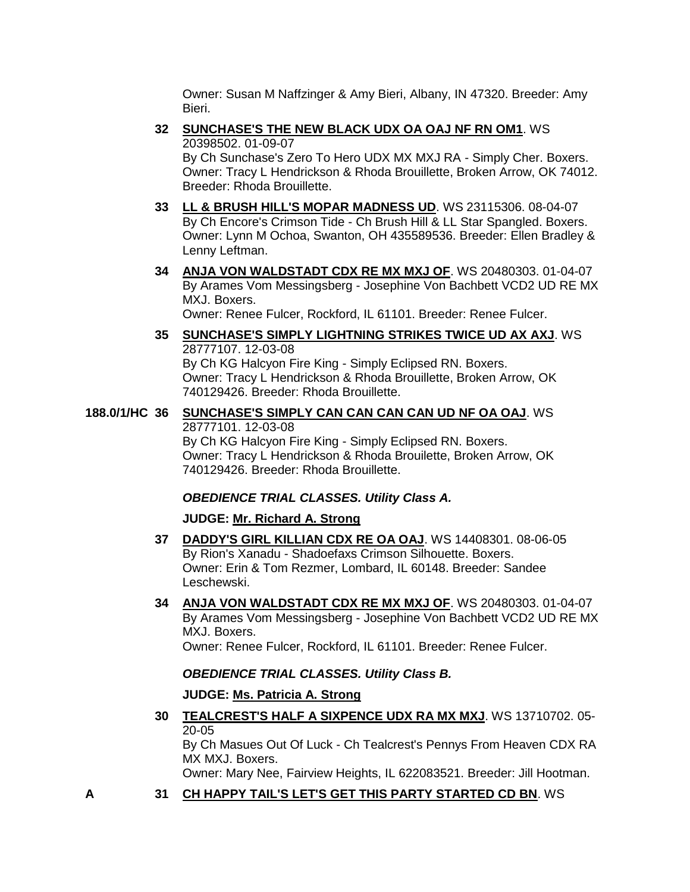Owner: Susan M Naffzinger & Amy Bieri, Albany, IN 47320. Breeder: Amy Bieri.

- **32 [SUNCHASE'S THE NEW BLACK UDX OA OAJ NF RN OM1](http://www.infodog.com/files/bdogrsl1.prg;makc=WS%2020398502;mdog=Sunchase_s_The_New_Black_UDX_OA_OAJ_NF_RN_OM1;wins=all)**. WS 20398502. 01-09-07 By Ch Sunchase's Zero To Hero UDX MX MXJ RA - Simply Cher. Boxers. Owner: Tracy L Hendrickson & Rhoda Brouillette, Broken Arrow, OK 74012. Breeder: Rhoda Brouillette.
- **33 [LL & BRUSH HILL'S MOPAR MADNESS UD](http://www.infodog.com/files/bdogrsl1.prg;makc=WS%2023115306;mdog=LL_&_Brush_Hill_s_Mopar_Madness_UD;wins=all)**. WS 23115306. 08-04-07 By Ch Encore's Crimson Tide - Ch Brush Hill & LL Star Spangled. Boxers. Owner: Lynn M Ochoa, Swanton, OH 435589536. Breeder: Ellen Bradley & Lenny Leftman.
- **34 [ANJA VON WALDSTADT CDX RE MX MXJ OF](http://www.infodog.com/files/bdogrsl1.prg;makc=WS%2020480303;mdog=Anja_Von_Waldstadt_CDX_RE_MX_MXJ_OF;wins=all)**. WS 20480303. 01-04-07 By Arames Vom Messingsberg - Josephine Von Bachbett VCD2 UD RE MX MXJ. Boxers.

Owner: Renee Fulcer, Rockford, IL 61101. Breeder: Renee Fulcer.

**35 [SUNCHASE'S SIMPLY LIGHTNING STRIKES TWICE UD AX AXJ](http://www.infodog.com/files/bdogrsl1.prg;makc=WS%2028777107;mdog=Sunchase_s_Simply_Lightning_Strikes_Twice_UD_AX_AXJ;wins=all)**. WS 28777107. 12-03-08 By Ch KG Halcyon Fire King - Simply Eclipsed RN. Boxers. Owner: Tracy L Hendrickson & Rhoda Brouillette, Broken Arrow, OK 740129426. Breeder: Rhoda Brouillette.

# **188.0/1/HC 36 [SUNCHASE'S SIMPLY CAN CAN CAN CAN UD NF OA OAJ](http://www.infodog.com/files/bdogrsl1.prg;makc=WS%2028777101;mdog=Sunchase_s_Simply_Can_Can_Can_Can_UD_NF_OA_OAJ;wins=all)**. WS 28777101. 12-03-08 By Ch KG Halcyon Fire King - Simply Eclipsed RN. Boxers.

Owner: Tracy L Hendrickson & Rhoda Brouilette, Broken Arrow, OK 740129426. Breeder: Rhoda Brouillette.

# *OBEDIENCE TRIAL CLASSES. Utility Class A.*

# **JUDGE: [Mr. Richard A. Strong](http://www.infodog.com/judges/2197/juddat.htm)**

- **37 [DADDY'S GIRL KILLIAN CDX RE OA OAJ](http://www.infodog.com/files/bdogrsl1.prg;makc=WS%2014408301;mdog=Daddy_s_Girl_Killian_CDX_RE_OA_OAJ;wins=all)**. WS 14408301. 08-06-05 By Rion's Xanadu - Shadoefaxs Crimson Silhouette. Boxers. Owner: Erin & Tom Rezmer, Lombard, IL 60148. Breeder: Sandee Leschewski.
- **34 [ANJA VON WALDSTADT CDX RE MX MXJ OF](http://www.infodog.com/files/bdogrsl1.prg;makc=WS%2020480303;mdog=Anja_Von_Waldstadt_CDX_RE_MX_MXJ_OF;wins=all)**. WS 20480303. 01-04-07 By Arames Vom Messingsberg - Josephine Von Bachbett VCD2 UD RE MX MXJ. Boxers.

Owner: Renee Fulcer, Rockford, IL 61101. Breeder: Renee Fulcer.

# *OBEDIENCE TRIAL CLASSES. Utility Class B.*

# **JUDGE: [Ms. Patricia A. Strong](http://www.infodog.com/judges/19096/juddat.htm)**

**30 [TEALCREST'S HALF A SIXPENCE UDX RA MX MXJ](http://www.infodog.com/files/bdogrsl1.prg;makc=WS%2013710702;mdog=Tealcrest_s_Half_A_Sixpence_UDX_RA_MX_MXJ;wins=all)**. WS 13710702. 05- 20-05

By Ch Masues Out Of Luck - Ch Tealcrest's Pennys From Heaven CDX RA MX MXJ. Boxers.

Owner: Mary Nee, Fairview Heights, IL 622083521. Breeder: Jill Hootman.

**A 31 [CH HAPPY TAIL'S LET'S GET THIS PARTY STARTED CD BN](http://www.infodog.com/files/bdogrsl1.prg;makc=WS%2027791701;mdog=Ch_Happy_Tail_s_Let_s_Get_This_Party_Started_CD_BN;wins=all)**. WS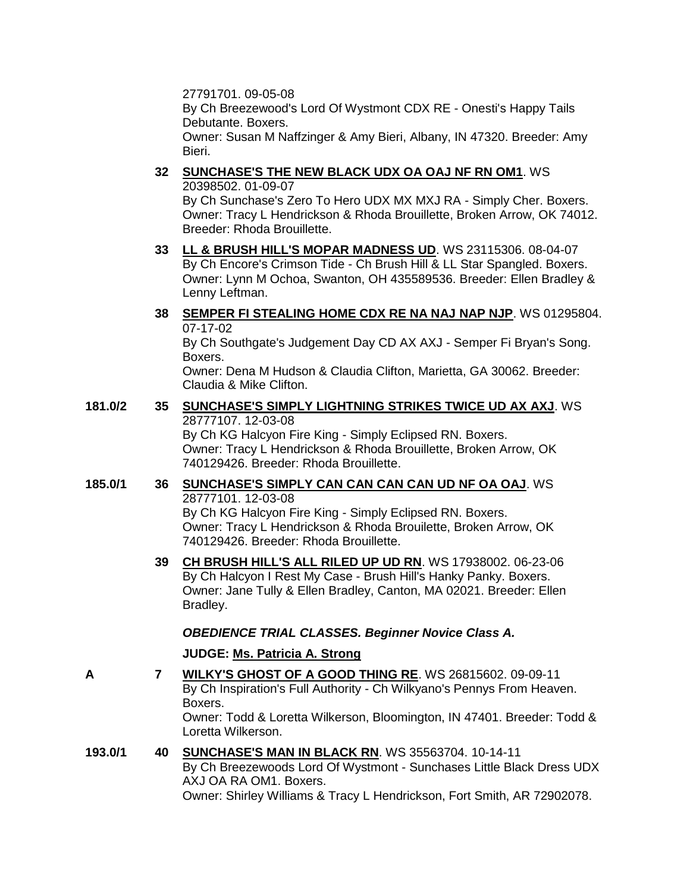27791701. 09-05-08

By Ch Breezewood's Lord Of Wystmont CDX RE - Onesti's Happy Tails Debutante. Boxers.

Owner: Susan M Naffzinger & Amy Bieri, Albany, IN 47320. Breeder: Amy Bieri.

**32 [SUNCHASE'S THE NEW BLACK UDX OA OAJ NF RN OM1](http://www.infodog.com/files/bdogrsl1.prg;makc=WS%2020398502;mdog=Sunchase_s_The_New_Black_UDX_OA_OAJ_NF_RN_OM1;wins=all)**. WS 20398502. 01-09-07

By Ch Sunchase's Zero To Hero UDX MX MXJ RA - Simply Cher. Boxers. Owner: Tracy L Hendrickson & Rhoda Brouillette, Broken Arrow, OK 74012. Breeder: Rhoda Brouillette.

- **33 [LL & BRUSH HILL'S MOPAR MADNESS UD](http://www.infodog.com/files/bdogrsl1.prg;makc=WS%2023115306;mdog=LL_&_Brush_Hill_s_Mopar_Madness_UD;wins=all)**. WS 23115306. 08-04-07 By Ch Encore's Crimson Tide - Ch Brush Hill & LL Star Spangled. Boxers. Owner: Lynn M Ochoa, Swanton, OH 435589536. Breeder: Ellen Bradley & Lenny Leftman.
- **38 [SEMPER FI STEALING HOME CDX RE NA NAJ NAP NJP](http://www.infodog.com/files/bdogrsl1.prg;makc=WS%2001295804;mdog=Semper_Fi_Stealing_Home_CDX_RE_NA_NAJ_NAP_NJP;wins=all)**. WS 01295804. 07-17-02 By Ch Southgate's Judgement Day CD AX AXJ - Semper Fi Bryan's Song. Boxers.

Owner: Dena M Hudson & Claudia Clifton, Marietta, GA 30062. Breeder: Claudia & Mike Clifton.

## **181.0/2 35 [SUNCHASE'S SIMPLY LIGHTNING STRIKES TWICE UD AX AXJ](http://www.infodog.com/files/bdogrsl1.prg;makc=WS%2028777107;mdog=Sunchase_s_Simply_Lightning_Strikes_Twice_UD_AX_AXJ;wins=all)**. WS 28777107. 12-03-08

By Ch KG Halcyon Fire King - Simply Eclipsed RN. Boxers. Owner: Tracy L Hendrickson & Rhoda Brouillette, Broken Arrow, OK 740129426. Breeder: Rhoda Brouillette.

## **185.0/1 36 [SUNCHASE'S SIMPLY CAN CAN CAN CAN UD NF OA OAJ](http://www.infodog.com/files/bdogrsl1.prg;makc=WS%2028777101;mdog=Sunchase_s_Simply_Can_Can_Can_Can_UD_NF_OA_OAJ;wins=all)**. WS 28777101. 12-03-08 By Ch KG Halcyon Fire King - Simply Eclipsed RN. Boxers. Owner: Tracy L Hendrickson & Rhoda Brouilette, Broken Arrow, OK 740129426. Breeder: Rhoda Brouillette.

**39 [CH BRUSH HILL'S ALL RILED UP UD RN](http://www.infodog.com/files/bdogrsl1.prg;makc=WS%2017938002;mdog=Ch_Brush_Hill_s_All_Riled_Up_UD_RN;wins=all)**. WS 17938002. 06-23-06 By Ch Halcyon I Rest My Case - Brush Hill's Hanky Panky. Boxers. Owner: Jane Tully & Ellen Bradley, Canton, MA 02021. Breeder: Ellen Bradley.

# *OBEDIENCE TRIAL CLASSES. Beginner Novice Class A.*

# **JUDGE: [Ms. Patricia A. Strong](http://www.infodog.com/judges/19096/juddat.htm)**

- **A 7 [WILKY'S GHOST OF A GOOD THING RE](http://www.infodog.com/files/bdogrsl1.prg;makc=WS%2026815602;mdog=Wilky_s_Ghost_Of_A_Good_Thing_RE;wins=all)**. WS 26815602. 09-09-11 By Ch Inspiration's Full Authority - Ch Wilkyano's Pennys From Heaven. Boxers. Owner: Todd & Loretta Wilkerson, Bloomington, IN 47401. Breeder: Todd & Loretta Wilkerson.
- **193.0/1 40 [SUNCHASE'S MAN IN BLACK RN](http://www.infodog.com/files/bdogrsl1.prg;makc=WS%2035563704;mdog=Sunchase_s_Man_In_Black_RN;wins=all)**. WS 35563704. 10-14-11 By Ch Breezewoods Lord Of Wystmont - Sunchases Little Black Dress UDX AXJ OA RA OM1. Boxers. Owner: Shirley Williams & Tracy L Hendrickson, Fort Smith, AR 72902078.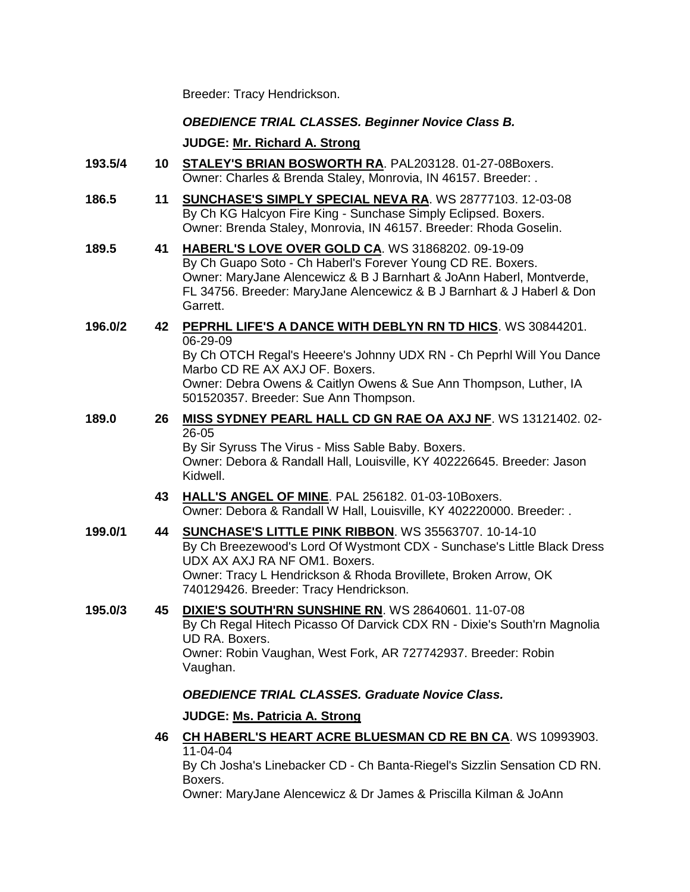Breeder: Tracy Hendrickson.

### *OBEDIENCE TRIAL CLASSES. Beginner Novice Class B.*

**JUDGE: [Mr. Richard A. Strong](http://www.infodog.com/judges/2197/juddat.htm)**

- **193.5/4 10 [STALEY'S BRIAN BOSWORTH RA](http://www.infodog.com/files/bdogrsl1.prg;makc=PAL203128;mdog=Staley_s_Brian_Bosworth_RA;wins=all)**. PAL203128. 01-27-08Boxers. Owner: Charles & Brenda Staley, Monrovia, IN 46157. Breeder: .
- **186.5 11 [SUNCHASE'S SIMPLY SPECIAL NEVA RA](http://www.infodog.com/files/bdogrsl1.prg;makc=WS%2028777103;mdog=Sunchase_s_Simply_Special_Neva_RA;wins=all)**. WS 28777103. 12-03-08 By Ch KG Halcyon Fire King - Sunchase Simply Eclipsed. Boxers. Owner: Brenda Staley, Monrovia, IN 46157. Breeder: Rhoda Goselin.
- **189.5 41 [HABERL'S LOVE OVER GOLD CA](http://www.infodog.com/files/bdogrsl1.prg;makc=WS%2031868202;mdog=Haberl_s_Love_Over_Gold_CA;wins=all)**. WS 31868202. 09-19-09 By Ch Guapo Soto - Ch Haberl's Forever Young CD RE. Boxers. Owner: MaryJane Alencewicz & B J Barnhart & JoAnn Haberl, Montverde, FL 34756. Breeder: MaryJane Alencewicz & B J Barnhart & J Haberl & Don Garrett.

#### **196.0/2 42 [PEPRHL LIFE'S A DANCE WITH DEBLYN RN TD HICS](http://www.infodog.com/files/bdogrsl1.prg;makc=WS%2030844201;mdog=Peprhl_Life_s_A_Dance_With_DebLyn_RN_TD_HICs;wins=all)**. WS 30844201. 06-29-09 By Ch OTCH Regal's Heeere's Johnny UDX RN - Ch Peprhl Will You Dance Marbo CD RE AX AXJ OF. Boxers.

Owner: Debra Owens & Caitlyn Owens & Sue Ann Thompson, Luther, IA 501520357. Breeder: Sue Ann Thompson.

## **189.0 26 [MISS SYDNEY PEARL HALL CD GN RAE OA AXJ NF](http://www.infodog.com/files/bdogrsl1.prg;makc=WS%2013121402;mdog=Miss_Sydney_Pearl_Hall_CD_GN_RAE_OA_AXJ_NF;wins=all)**. WS 13121402. 02- 26-05

By Sir Syruss The Virus - Miss Sable Baby. Boxers. Owner: Debora & Randall Hall, Louisville, KY 402226645. Breeder: Jason Kidwell.

# **43 [HALL'S ANGEL OF MINE](http://www.infodog.com/files/bdogrsl1.prg;makc=PAL%20256182;mdog=Hall_s_Angel_Of_Mine;wins=all)**. PAL 256182. 01-03-10Boxers. Owner: Debora & Randall W Hall, Louisville, KY 402220000. Breeder: .

**199.0/1 44 [SUNCHASE'S LITTLE PINK RIBBON](http://www.infodog.com/files/bdogrsl1.prg;makc=WS%2035563707;mdog=Sunchase_s_Little_Pink_Ribbon;wins=all)**. WS 35563707. 10-14-10 By Ch Breezewood's Lord Of Wystmont CDX - Sunchase's Little Black Dress UDX AX AXJ RA NF OM1. Boxers. Owner: Tracy L Hendrickson & Rhoda Brovillete, Broken Arrow, OK 740129426. Breeder: Tracy Hendrickson.

## **195.0/3 45 [DIXIE'S SOUTH'RN SUNSHINE RN](http://www.infodog.com/files/bdogrsl1.prg;makc=WS%2028640601;mdog=Dixie_s_South_rn_Sunshine_RN;wins=all)**. WS 28640601. 11-07-08 By Ch Regal Hitech Picasso Of Darvick CDX RN - Dixie's South'rn Magnolia UD RA. Boxers. Owner: Robin Vaughan, West Fork, AR 727742937. Breeder: Robin Vaughan.

# *OBEDIENCE TRIAL CLASSES. Graduate Novice Class.*

# **JUDGE: [Ms. Patricia A. Strong](http://www.infodog.com/judges/19096/juddat.htm)**

**46 [CH HABERL'S HEART ACRE BLUESMAN CD RE BN CA](http://www.infodog.com/files/bdogrsl1.prg;makc=WS%2010993903;mdog=Ch_Haberl_s_Heart_Acre_Bluesman_CD_RE_BN_CA;wins=all)**. WS 10993903. 11-04-04

By Ch Josha's Linebacker CD - Ch Banta-Riegel's Sizzlin Sensation CD RN. Boxers.

Owner: MaryJane Alencewicz & Dr James & Priscilla Kilman & JoAnn